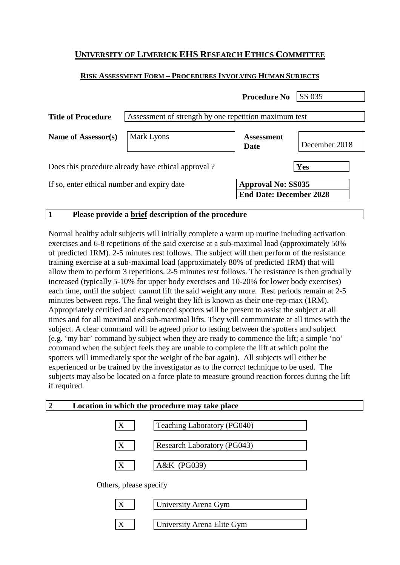# **UNIVERSITY OF LIMERICK EHS RESEARCH ETHICS COMMITTEE**

## **RISK ASSESSMENT FORM – PROCEDURES INVOLVING HUMAN SUBJECTS**

|                                                    |                                                       | <b>Procedure No</b>                                         | SS 035        |  |  |
|----------------------------------------------------|-------------------------------------------------------|-------------------------------------------------------------|---------------|--|--|
| <b>Title of Procedure</b>                          | Assessment of strength by one repetition maximum test |                                                             |               |  |  |
| Name of Assessor(s)                                | Mark Lyons                                            | <b>Assessment</b><br>Date                                   | December 2018 |  |  |
| Does this procedure already have ethical approval? |                                                       |                                                             | Yes           |  |  |
| If so, enter ethical number and expiry date        |                                                       | <b>Approval No: SS035</b><br><b>End Date: December 2028</b> |               |  |  |

#### **1 Please provide a brief description of the procedure**

Normal healthy adult subjects will initially complete a warm up routine including activation exercises and 6-8 repetitions of the said exercise at a sub-maximal load (approximately 50% of predicted 1RM). 2-5 minutes rest follows. The subject will then perform of the resistance training exercise at a sub-maximal load (approximately 80% of predicted 1RM) that will allow them to perform 3 repetitions. 2-5 minutes rest follows. The resistance is then gradually increased (typically 5-10% for upper body exercises and 10-20% for lower body exercises) each time, until the subject cannot lift the said weight any more. Rest periods remain at 2-5 minutes between reps. The final weight they lift is known as their one-rep-max (1RM). Appropriately certified and experienced spotters will be present to assist the subject at all times and for all maximal and sub-maximal lifts. They will communicate at all times with the subject. A clear command will be agreed prior to testing between the spotters and subject (e.g. 'my bar' command by subject when they are ready to commence the lift; a simple 'no' command when the subject feels they are unable to complete the lift at which point the spotters will immediately spot the weight of the bar again). All subjects will either be experienced or be trained by the investigator as to the correct technique to be used. The subjects may also be located on a force plate to measure ground reaction forces during the lift if required.

| 2 | Location in which the procedure may take place |                             |  |
|---|------------------------------------------------|-----------------------------|--|
|   | X                                              | Teaching Laboratory (PG040) |  |
|   | X                                              | Research Laboratory (PG043) |  |
|   | X                                              | A&K (PG039)                 |  |
|   | Others, please specify                         |                             |  |

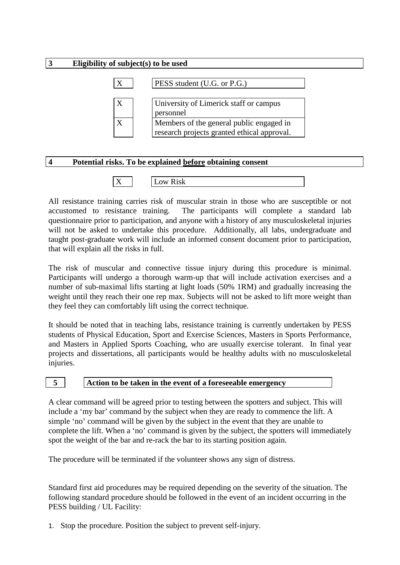# **3 Eligibility of subject(s) to be used**  $X$  | PESS student (U.G. or P.G.) X University of Limerick staff or campus personnel  $X$  Members of the general public engaged in research projects granted ethical approval.

## **4 Potential risks. To be explained before obtaining consent**

| $\mathbf{r}$<br>. .<br>----- |
|------------------------------|
|------------------------------|

All resistance training carries risk of muscular strain in those who are susceptible or not accustomed to resistance training. The participants will complete a standard lab questionnaire prior to participation, and anyone with a history of any musculoskeletal injuries will not be asked to undertake this procedure. Additionally, all labs, undergraduate and taught post-graduate work will include an informed consent document prior to participation, that will explain all the risks in full.

The risk of muscular and connective tissue injury during this procedure is minimal. Participants will undergo a thorough warm-up that will include activation exercises and a number of sub-maximal lifts starting at light loads (50% 1RM) and gradually increasing the weight until they reach their one rep max. Subjects will not be asked to lift more weight than they feel they can comfortably lift using the correct technique.

It should be noted that in teaching labs, resistance training is currently undertaken by PESS students of Physical Education, Sport and Exercise Sciences, Masters in Sports Performance, and Masters in Applied Sports Coaching, who are usually exercise tolerant. In final year projects and dissertations, all participants would be healthy adults with no musculoskeletal injuries.

## **5 Action to be taken in the event of a foreseeable emergency**

A clear command will be agreed prior to testing between the spotters and subject. This will include a 'my bar' command by the subject when they are ready to commence the lift. A simple 'no' command will be given by the subject in the event that they are unable to complete the lift. When a 'no' command is given by the subject, the spotters will immediately spot the weight of the bar and re-rack the bar to its starting position again.

The procedure will be terminated if the volunteer shows any sign of distress.

Standard first aid procedures may be required depending on the severity of the situation. The following standard procedure should be followed in the event of an incident occurring in the PESS building / UL Facility:

1. Stop the procedure. Position the subject to prevent self-injury.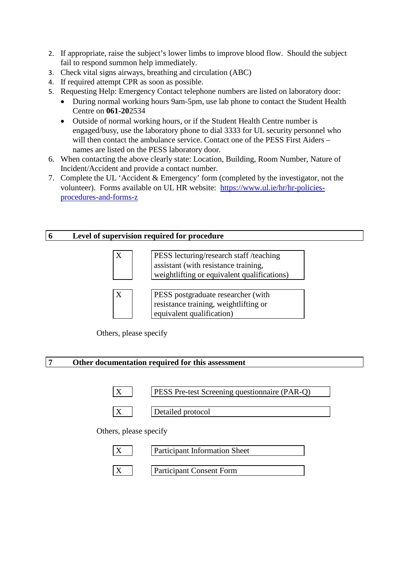- 2. If appropriate, raise the subject's lower limbs to improve blood flow. Should the subject fail to respond summon help immediately.
- 3. Check vital signs airways, breathing and circulation (ABC)
- 4. If required attempt CPR as soon as possible.
- 5. Requesting Help: Emergency Contact telephone numbers are listed on laboratory door:
	- During normal working hours 9am-5pm, use lab phone to contact the Student Health Centre on **061-20**2534
	- Outside of normal working hours, or if the Student Health Centre number is engaged/busy, use the laboratory phone to dial 3333 for UL security personnel who will then contact the ambulance service. Contact one of the PESS First Aiders – names are listed on the PESS laboratory door.
- 6. When contacting the above clearly state: Location, Building, Room Number, Nature of Incident/Accident and provide a contact number.
- 7. Complete the UL 'Accident & Emergency' form (completed by the investigator, not the volunteer). Forms available on UL HR website: [https://www.ul.ie/hr/hr-policies](https://www.ul.ie/hr/hr-policies-procedures-and-forms-z)[procedures-and-forms-z](https://www.ul.ie/hr/hr-policies-procedures-and-forms-z)

## **6 Level of supervision required for procedure**

| X            | PESS lecturing/research staff /teaching<br>assistant (with resistance training,<br>weightlifting or equivalent qualifications) |
|--------------|--------------------------------------------------------------------------------------------------------------------------------|
|              |                                                                                                                                |
| $\mathbf{X}$ | PESS postgraduate researcher (with<br>resistance training, weightlifting or                                                    |
|              | equivalent qualification)                                                                                                      |



## **7 Other documentation required for this assessment**





X Detailed protocol

Others, please specify